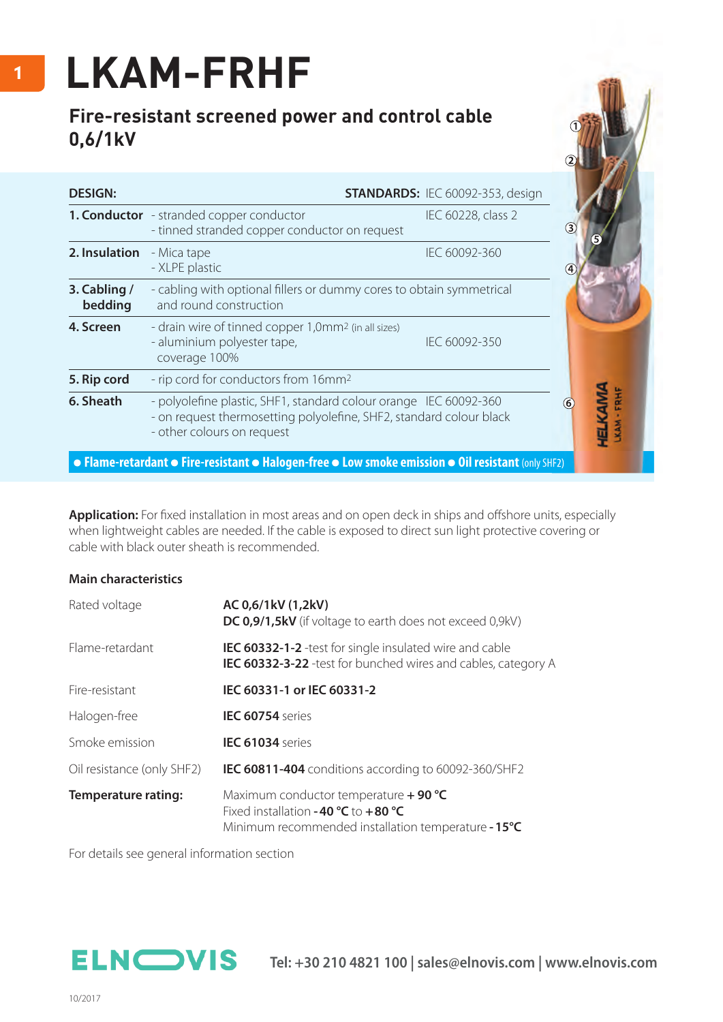## **LKAM-FRHF**

## **Fire-resistant screened power and control cable 0,6/1kV**

| <b>DESIGN:</b>          |                                                                                                                                                                        | <b>STANDARDS: IEC 60092-353, design</b> |     |
|-------------------------|------------------------------------------------------------------------------------------------------------------------------------------------------------------------|-----------------------------------------|-----|
|                         | <b>1. Conductor</b> - stranded copper conductor<br>- tinned stranded copper conductor on request                                                                       | IEC 60228, class 2                      | (3) |
| 2. Insulation           | - Mica tape<br>- XLPE plastic                                                                                                                                          | IEC 60092-360                           |     |
| 3. Cabling /<br>bedding | - cabling with optional fillers or dummy cores to obtain symmetrical<br>and round construction                                                                         |                                         |     |
| 4. Screen               | - drain wire of tinned copper 1,0mm <sup>2</sup> (in all sizes)<br>- aluminium polyester tape,<br>coverage 100%                                                        | IEC 60092-350                           |     |
| 5. Rip cord             | - rip cord for conductors from 16mm <sup>2</sup>                                                                                                                       |                                         |     |
| 6. Sheath               | - polyolefine plastic, SHF1, standard colour orange IEC 60092-360<br>- on request thermosetting polyolefine, SHF2, standard colour black<br>- other colours on request | FRHF<br>(6)<br><b>TELA</b>              |     |
|                         | • Flame-retardant • Fire-resistant • Halogen-free • Low smoke emission • Oil resistant (only SHF2)                                                                     |                                         |     |

Application: For fixed installation in most areas and on open deck in ships and offshore units, especially when lightweight cables are needed. If the cable is exposed to direct sun light protective covering or cable with black outer sheath is recommended.

## **Main characteristics**

| Rated voltage              | AC 0,6/1kV (1,2kV)<br>DC 0,9/1,5kV (if voltage to earth does not exceed 0,9kV)                                                         |  |  |  |  |
|----------------------------|----------------------------------------------------------------------------------------------------------------------------------------|--|--|--|--|
| Flame-retardant            | <b>IEC 60332-1-2</b> -test for single insulated wire and cable<br><b>IEC 60332-3-22</b> -test for bunched wires and cables, category A |  |  |  |  |
| Fire-resistant             | IEC 60331-1 or IEC 60331-2                                                                                                             |  |  |  |  |
| Halogen-free               | <b>IEC 60754</b> series                                                                                                                |  |  |  |  |
| Smoke emission             | <b>IEC 61034</b> series                                                                                                                |  |  |  |  |
| Oil resistance (only SHF2) | IEC 60811-404 conditions according to 60092-360/SHF2                                                                                   |  |  |  |  |
| <b>Temperature rating:</b> | Maximum conductor temperature + 90 °C<br>Fixed installation -40 $°C$ to +80 °C<br>Minimum recommended installation temperature - 15°C  |  |  |  |  |

For details see general information section